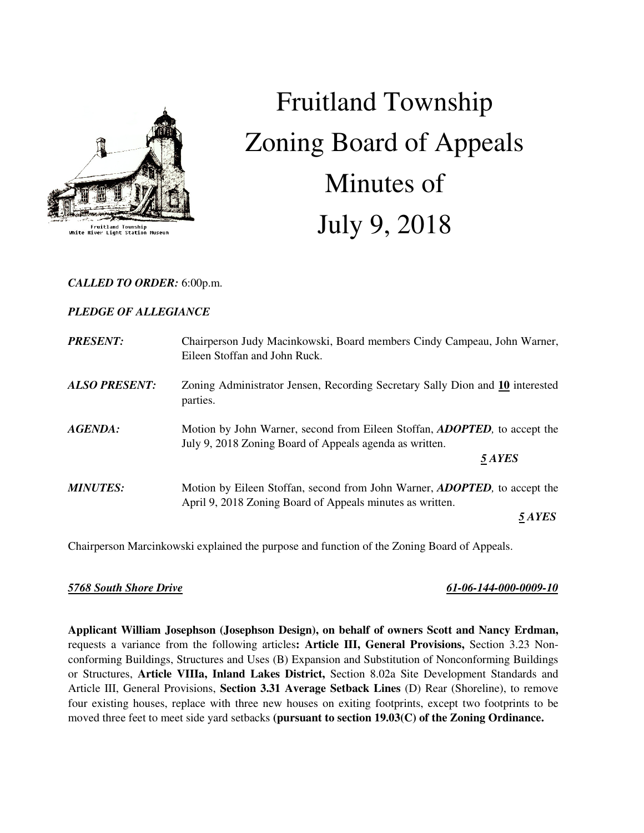

## Fruitland Township<br>River Light Station Muse

# Fruitland Township Zoning Board of Appeals Minutes of July 9, 2018

## *CALLED TO ORDER:* 6:00p.m.

## *PLEDGE OF ALLEGIANCE*

| <b>PRESENT:</b>      | Chairperson Judy Macinkowski, Board members Cindy Campeau, John Warner,<br>Eileen Stoffan and John Ruck.                                       |
|----------------------|------------------------------------------------------------------------------------------------------------------------------------------------|
| <b>ALSO PRESENT:</b> | Zoning Administrator Jensen, Recording Secretary Sally Dion and 10 interested<br>parties.                                                      |
| AGENDA:              | Motion by John Warner, second from Eileen Stoffan, <i>ADOPTED</i> , to accept the<br>July 9, 2018 Zoning Board of Appeals agenda as written.   |
|                      | 5 AYES                                                                                                                                         |
| <b>MINUTES:</b>      | Motion by Eileen Stoffan, second from John Warner, <b>ADOPTED</b> , to accept the<br>April 9, 2018 Zoning Board of Appeals minutes as written. |
|                      | 5 AYES                                                                                                                                         |

Chairperson Marcinkowski explained the purpose and function of the Zoning Board of Appeals.

## *5768 South Shore Drive 61-06-144-000-0009-10*

**Applicant William Josephson (Josephson Design), on behalf of owners Scott and Nancy Erdman,**  requests a variance from the following articles**: Article III, General Provisions,** Section 3.23 Nonconforming Buildings, Structures and Uses (B) Expansion and Substitution of Nonconforming Buildings or Structures, **Article VIIIa, Inland Lakes District,** Section 8.02a Site Development Standards and Article III, General Provisions, **Section 3.31 Average Setback Lines** (D) Rear (Shoreline), to remove four existing houses, replace with three new houses on exiting footprints, except two footprints to be moved three feet to meet side yard setbacks **(pursuant to section 19.03(C) of the Zoning Ordinance.**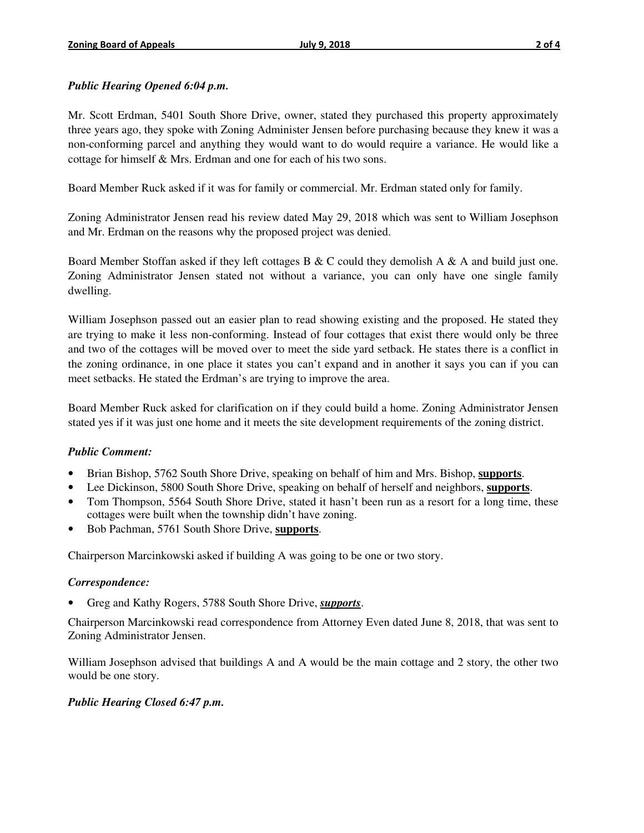#### *Public Hearing Opened 6:04 p.m.*

Mr. Scott Erdman, 5401 South Shore Drive, owner, stated they purchased this property approximately three years ago, they spoke with Zoning Administer Jensen before purchasing because they knew it was a non-conforming parcel and anything they would want to do would require a variance. He would like a cottage for himself & Mrs. Erdman and one for each of his two sons.

Board Member Ruck asked if it was for family or commercial. Mr. Erdman stated only for family.

Zoning Administrator Jensen read his review dated May 29, 2018 which was sent to William Josephson and Mr. Erdman on the reasons why the proposed project was denied.

Board Member Stoffan asked if they left cottages B & C could they demolish A & A and build just one. Zoning Administrator Jensen stated not without a variance, you can only have one single family dwelling.

William Josephson passed out an easier plan to read showing existing and the proposed. He stated they are trying to make it less non-conforming. Instead of four cottages that exist there would only be three and two of the cottages will be moved over to meet the side yard setback. He states there is a conflict in the zoning ordinance, in one place it states you can't expand and in another it says you can if you can meet setbacks. He stated the Erdman's are trying to improve the area.

Board Member Ruck asked for clarification on if they could build a home. Zoning Administrator Jensen stated yes if it was just one home and it meets the site development requirements of the zoning district.

#### *Public Comment:*

- Brian Bishop, 5762 South Shore Drive, speaking on behalf of him and Mrs. Bishop, **supports**.
- Lee Dickinson, 5800 South Shore Drive, speaking on behalf of herself and neighbors, **supports**.
- Tom Thompson, 5564 South Shore Drive, stated it hasn't been run as a resort for a long time, these cottages were built when the township didn't have zoning.
- Bob Pachman, 5761 South Shore Drive, **supports**.

Chairperson Marcinkowski asked if building A was going to be one or two story.

#### *Correspondence:*

• Greg and Kathy Rogers, 5788 South Shore Drive, *supports*.

Chairperson Marcinkowski read correspondence from Attorney Even dated June 8, 2018, that was sent to Zoning Administrator Jensen.

William Josephson advised that buildings A and A would be the main cottage and 2 story, the other two would be one story.

#### *Public Hearing Closed 6:47 p.m.*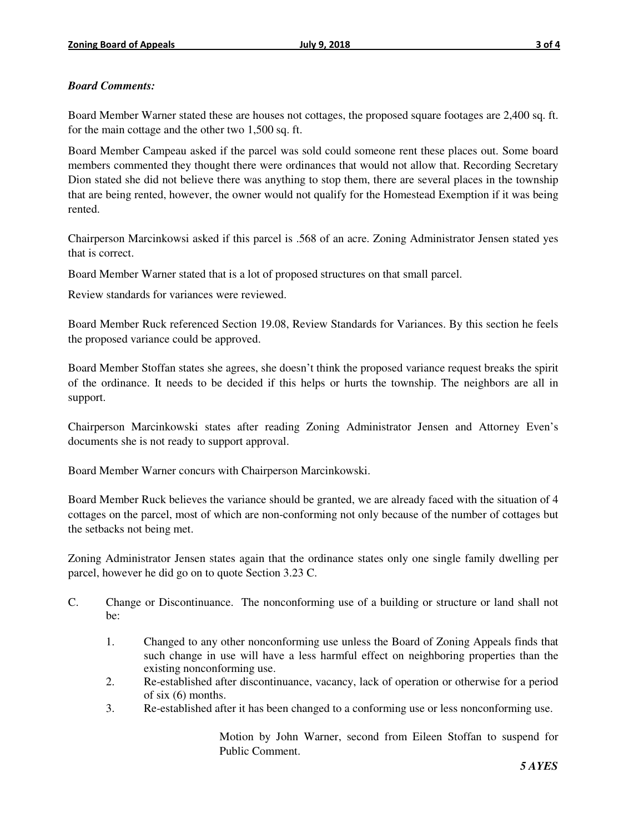## *Board Comments:*

Board Member Warner stated these are houses not cottages, the proposed square footages are 2,400 sq. ft. for the main cottage and the other two 1,500 sq. ft.

Board Member Campeau asked if the parcel was sold could someone rent these places out. Some board members commented they thought there were ordinances that would not allow that. Recording Secretary Dion stated she did not believe there was anything to stop them, there are several places in the township that are being rented, however, the owner would not qualify for the Homestead Exemption if it was being rented.

Chairperson Marcinkowsi asked if this parcel is .568 of an acre. Zoning Administrator Jensen stated yes that is correct.

Board Member Warner stated that is a lot of proposed structures on that small parcel.

Review standards for variances were reviewed.

Board Member Ruck referenced Section 19.08, Review Standards for Variances. By this section he feels the proposed variance could be approved.

Board Member Stoffan states she agrees, she doesn't think the proposed variance request breaks the spirit of the ordinance. It needs to be decided if this helps or hurts the township. The neighbors are all in support.

Chairperson Marcinkowski states after reading Zoning Administrator Jensen and Attorney Even's documents she is not ready to support approval.

Board Member Warner concurs with Chairperson Marcinkowski.

Board Member Ruck believes the variance should be granted, we are already faced with the situation of 4 cottages on the parcel, most of which are non-conforming not only because of the number of cottages but the setbacks not being met.

Zoning Administrator Jensen states again that the ordinance states only one single family dwelling per parcel, however he did go on to quote Section 3.23 C.

- C. Change or Discontinuance. The nonconforming use of a building or structure or land shall not be:
	- 1. Changed to any other nonconforming use unless the Board of Zoning Appeals finds that such change in use will have a less harmful effect on neighboring properties than the existing nonconforming use.
	- 2. Re-established after discontinuance, vacancy, lack of operation or otherwise for a period of six (6) months.
	- 3. Re-established after it has been changed to a conforming use or less nonconforming use.

Motion by John Warner, second from Eileen Stoffan to suspend for Public Comment.